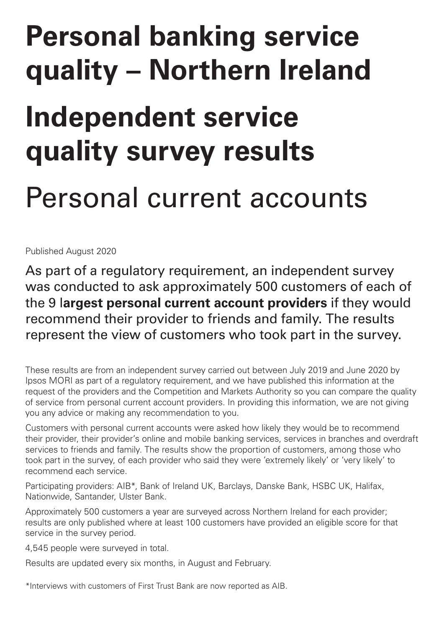# **Personal banking service quality – Northern Ireland**

## **Independent service quality survey results**

## Personal current accounts

Published August 2020

As part of a regulatory requirement, an independent survey was conducted to ask approximately 500 customers of each of the 9 l**argest personal current account providers** if they would recommend their provider to friends and family. The results represent the view of customers who took part in the survey.

These results are from an independent survey carried out between July 2019 and June 2020 by Ipsos MORI as part of a regulatory requirement, and we have published this information at the request of the providers and the Competition and Markets Authority so you can compare the quality of service from personal current account providers. In providing this information, we are not giving you any advice or making any recommendation to you.

Customers with personal current accounts were asked how likely they would be to recommend their provider, their provider's online and mobile banking services, services in branches and overdraft services to friends and family. The results show the proportion of customers, among those who took part in the survey, of each provider who said they were 'extremely likely' or 'very likely' to recommend each service.

Participating providers: AIB\*, Bank of Ireland UK, Barclays, Danske Bank, HSBC UK, Halifax, Nationwide, Santander, Ulster Bank.

Approximately 500 customers a year are surveyed across Northern Ireland for each provider; results are only published where at least 100 customers have provided an eligible score for that service in the survey period.

4,545 people were surveyed in total.

Results are updated every six months, in August and February.

\*Interviews with customers of First Trust Bank are now reported as AIB.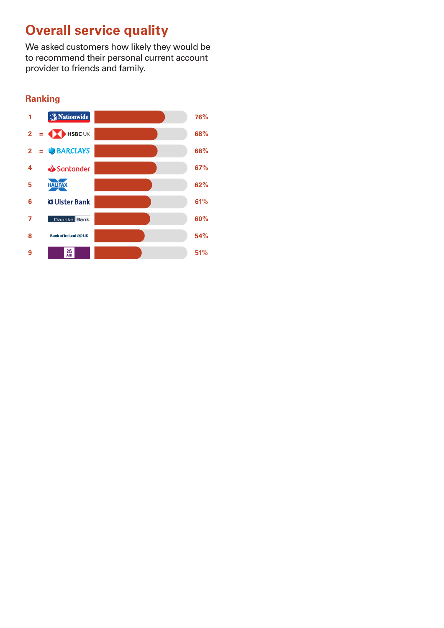## **Overall service quality**

We asked customers how likely they would be to recommend their personal current account provider to friends and family.

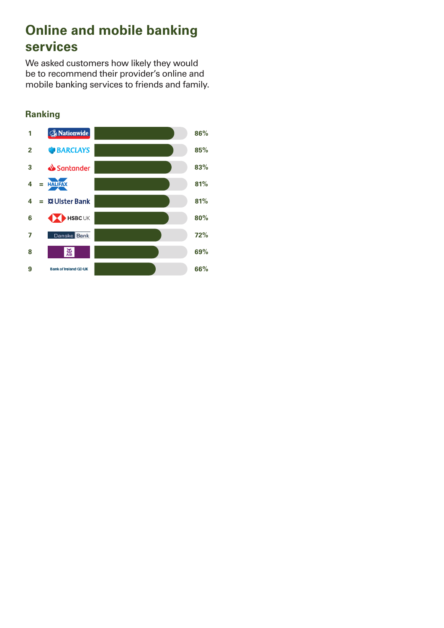## **Online and mobile banking services**

We asked customers how likely they would be to recommend their provider's online and mobile banking services to friends and family.

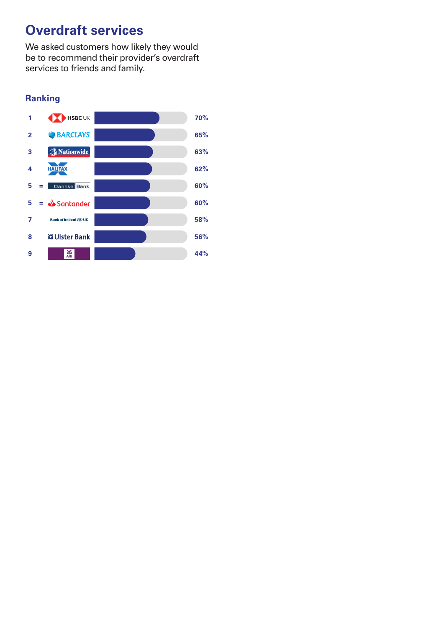### **Overdraft services**

We asked customers how likely they would be to recommend their provider's overdraft services to friends and family.